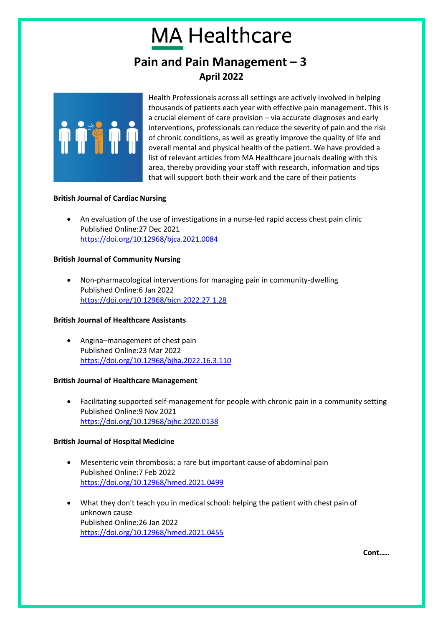# **MA Healthcare**

### **Pain and Pain Management – 3 April 2022**



Health Professionals across all settings are actively involved in helping thousands of patients each year with effective pain management. This is a crucial element of care provision – via accurate diagnoses and early interventions, professionals can reduce the severity of pain and the risk of chronic conditions, as well as greatly improve the quality of life and overall mental and physical health of the patient. We have provided a list of relevant articles from MA Healthcare journals dealing with this area, thereby providing your staff with research, information and tips that will support both their work and the care of their patients

#### **British Journal of Cardiac Nursing**

• An evaluation of the use of investigations in a nurse-led rapid access chest pain clinic Published Online:27 Dec 2021 <https://doi.org/10.12968/bjca.2021.0084>

#### **British Journal of Community Nursing**

• Non-pharmacological interventions for managing pain in community-dwelling Published Online:6 Jan 2022 <https://doi.org/10.12968/bjcn.2022.27.1.28>

#### **British Journal of Healthcare Assistants**

• Angina–management of chest pain Published Online:23 Mar 2022 <https://doi.org/10.12968/bjha.2022.16.3.110>

#### **British Journal of Healthcare Management**

• Facilitating supported self-management for people with chronic pain in a community setting Published Online:9 Nov 2021 <https://doi.org/10.12968/bjhc.2020.0138>

#### **British Journal of Hospital Medicine**

- Mesenteric vein thrombosis: a rare but important cause of abdominal pain Published Online:7 Feb 2022 <https://doi.org/10.12968/hmed.2021.0499>
- What they don't teach you in medical school: helping the patient with chest pain of unknown cause Published Online:26 Jan 2022 <https://doi.org/10.12968/hmed.2021.0455>

**Cont…..**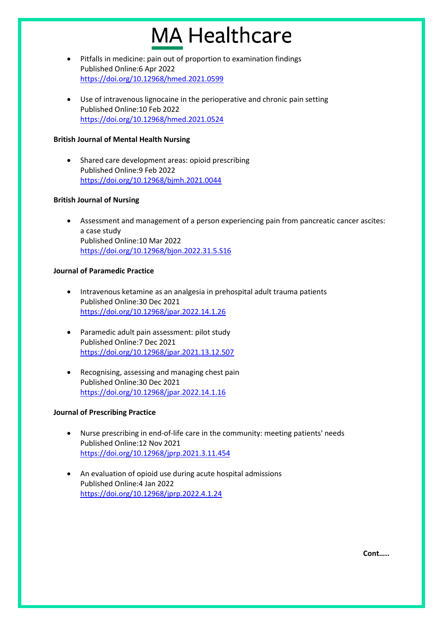## **MA Healthcare**

- Pitfalls in medicine: pain out of proportion to examination findings Published Online:6 Apr 2022 <https://doi.org/10.12968/hmed.2021.0599>
- Use of intravenous lignocaine in the perioperative and chronic pain setting Published Online:10 Feb 2022 <https://doi.org/10.12968/hmed.2021.0524>

#### **British Journal of Mental Health Nursing**

• Shared care development areas: opioid prescribing Published Online:9 Feb 2022 <https://doi.org/10.12968/bjmh.2021.0044>

#### **British Journal of Nursing**

• Assessment and management of a person experiencing pain from pancreatic cancer ascites: a case study Published Online:10 Mar 2022 <https://doi.org/10.12968/bjon.2022.31.5.S16>

#### **Journal of Paramedic Practice**

- Intravenous ketamine as an analgesia in prehospital adult trauma patients Published Online:30 Dec 2021 <https://doi.org/10.12968/jpar.2022.14.1.26>
- Paramedic adult pain assessment: pilot study Published Online:7 Dec 2021 <https://doi.org/10.12968/jpar.2021.13.12.507>
- Recognising, assessing and managing chest pain Published Online:30 Dec 2021 <https://doi.org/10.12968/jpar.2022.14.1.16>

### **Journal of Prescribing Practice**

- Nurse prescribing in end-of-life care in the community: meeting patients' needs Published Online:12 Nov 2021 <https://doi.org/10.12968/jprp.2021.3.11.454>
- An evaluation of opioid use during acute hospital admissions Published Online:4 Jan 2022 <https://doi.org/10.12968/jprp.2022.4.1.24>

**Cont…..**